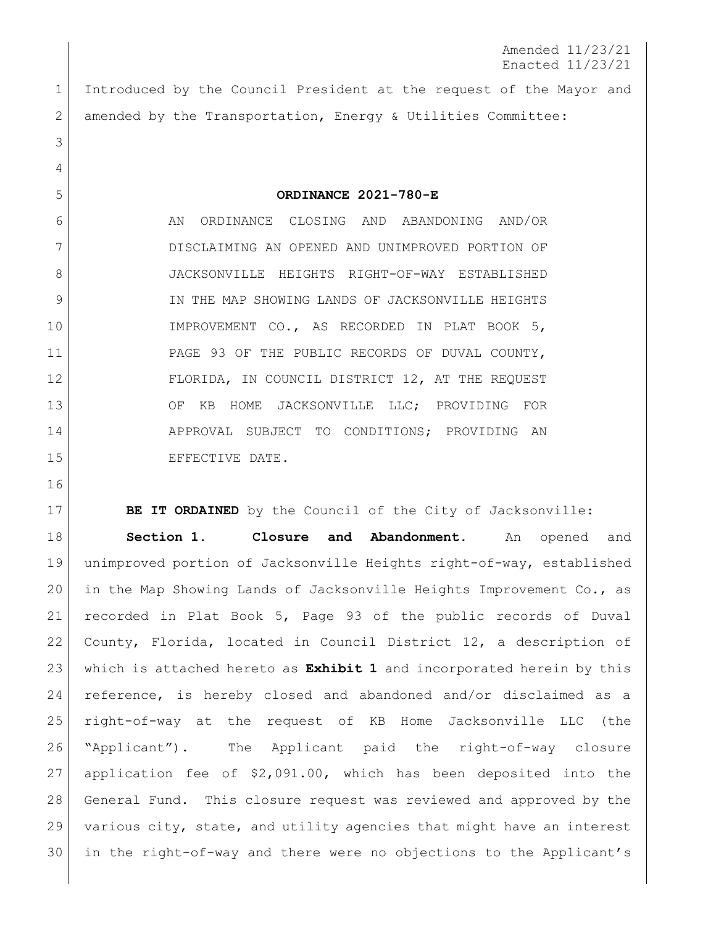Amended 11/23/21 Enacted 11/23/21

 Introduced by the Council President at the request of the Mayor and 2 amended by the Transportation, Energy & Utilities Committee:

**ORDINANCE 2021-780-E**

6 AN ORDINANCE CLOSING AND ABANDONING AND/OR DISCLAIMING AN OPENED AND UNIMPROVED PORTION OF JACKSONVILLE HEIGHTS RIGHT-OF-WAY ESTABLISHED 9 IN THE MAP SHOWING LANDS OF JACKSONVILLE HEIGHTS 10 IMPROVEMENT CO., AS RECORDED IN PLAT BOOK 5, PAGE 93 OF THE PUBLIC RECORDS OF DUVAL COUNTY, FLORIDA, IN COUNCIL DISTRICT 12, AT THE REQUEST 13 OF KB HOME JACKSONVILLE LLC; PROVIDING FOR 14 APPROVAL SUBJECT TO CONDITIONS; PROVIDING AN 15 EFFECTIVE DATE.

**BE IT ORDAINED** by the Council of the City of Jacksonville: **Section 1. Closure and Abandonment.** An opened and unimproved portion of Jacksonville Heights right-of-way, established in the Map Showing Lands of Jacksonville Heights Improvement Co., as recorded in Plat Book 5, Page 93 of the public records of Duval County, Florida, located in Council District 12, a description of which is attached hereto as **Exhibit 1** and incorporated herein by this reference, is hereby closed and abandoned and/or disclaimed as a right-of-way at the request of KB Home Jacksonville LLC (the "Applicant"). The Applicant paid the right-of-way closure application fee of \$2,091.00, which has been deposited into the General Fund. This closure request was reviewed and approved by the various city, state, and utility agencies that might have an interest in the right-of-way and there were no objections to the Applicant's